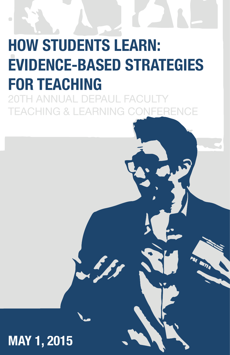# **HOW STUDENTS LEARN: EVIDENCE-BASED STRATEGIES FOR TEACHING**

FPAHI I **EACHING & LEARNIN** 

# **MAY 1, 2015**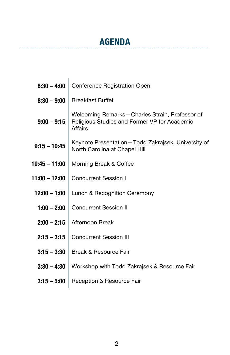# **AGENDA**

| $8:30 - 4:00$  | Conference Registration Open                                                                              |  |
|----------------|-----------------------------------------------------------------------------------------------------------|--|
| $8:30 - 9:00$  | <b>Breakfast Buffet</b>                                                                                   |  |
| $9:00 - 9:15$  | Welcoming Remarks-Charles Strain, Professor of<br>Religious Studies and Former VP for Academic<br>Affairs |  |
| $9:15 - 10:45$ | Keynote Presentation-Todd Zakrajsek, University of<br>North Carolina at Chapel Hill                       |  |
| 10:45 - 11:00  | Morning Break & Coffee                                                                                    |  |
| 11:00 - 12:00  | <b>Concurrent Session I</b>                                                                               |  |
| $12:00 - 1:00$ | Lunch & Recognition Ceremony                                                                              |  |
| $1:00 - 2:00$  | <b>Concurrent Session II</b>                                                                              |  |
| $2:00 - 2:15$  | Afternoon Break                                                                                           |  |
| $2:15 - 3:15$  | <b>Concurrent Session III</b>                                                                             |  |
| $3:15 - 3:30$  | Break & Resource Fair                                                                                     |  |
| $3:30 - 4:30$  | Workshop with Todd Zakrajsek & Resource Fair                                                              |  |
| $3:15 - 5:00$  | Reception & Resource Fair                                                                                 |  |
|                |                                                                                                           |  |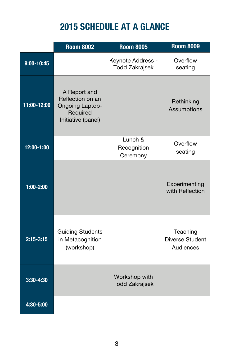# **2015 SCHEDULE AT A GLANCE**

|                | <b>Room 8002</b>                                                                             | <b>Room 8005</b>                           | <b>Room 8009</b>                                |
|----------------|----------------------------------------------------------------------------------------------|--------------------------------------------|-------------------------------------------------|
| $9:00 - 10:45$ |                                                                                              | Keynote Address -<br><b>Todd Zakrajsek</b> | Overflow<br>seating                             |
| 11:00-12:00    | A Report and<br>Reflection on an<br><b>Ongoing Laptop-</b><br>Required<br>Initiative (panel) |                                            | Rethinking<br>Assumptions                       |
| 12:00-1:00     |                                                                                              | Lunch &<br>Recognition<br>Ceremony         | Overflow<br>seating                             |
| $1:00 - 2:00$  |                                                                                              |                                            | Experimenting<br>with Reflection                |
| $2:15 - 3:15$  | <b>Guiding Students</b><br>in Metacognition<br>(workshop)                                    |                                            | Teaching<br><b>Diverse Student</b><br>Audiences |
| 3:30-4:30      |                                                                                              | Workshop with<br><b>Todd Zakrajsek</b>     |                                                 |
| 4:30-5:00      |                                                                                              |                                            |                                                 |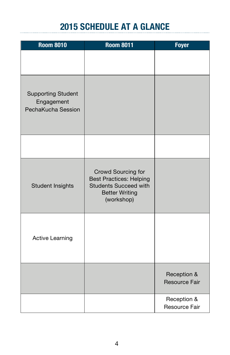# **2015 SCHEDULE AT A GLANCE**

| <b>Room 8010</b>                                              | <b>Room 8011</b>                                                                                                            | <b>Foyer</b>                        |
|---------------------------------------------------------------|-----------------------------------------------------------------------------------------------------------------------------|-------------------------------------|
|                                                               |                                                                                                                             |                                     |
| <b>Supporting Student</b><br>Engagement<br>PechaKucha Session |                                                                                                                             |                                     |
|                                                               |                                                                                                                             |                                     |
| <b>Student Insights</b>                                       | Crowd Sourcing for<br><b>Best Practices: Helping</b><br><b>Students Succeed with</b><br><b>Better Writing</b><br>(workshop) |                                     |
| <b>Active Learning</b>                                        |                                                                                                                             |                                     |
|                                                               |                                                                                                                             | Reception &<br><b>Resource Fair</b> |
|                                                               |                                                                                                                             | Reception &<br>Resource Fair        |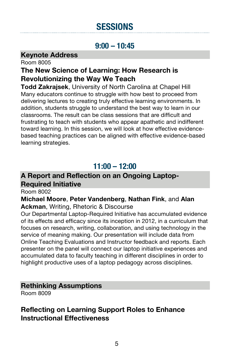# **SESSIONS**

### **9:00 – 10:45**

### **Keynote Address**

Room 8005

### **The New Science of Learning: How Research is Revolutionizing the Way We Teach**

**Todd Zakrajsek**, University of North Carolina at Chapel Hill Many educators continue to struggle with how best to proceed from delivering lectures to creating truly effective learning environments. In addition, students struggle to understand the best way to learn in our classrooms. The result can be class sessions that are difficult and frustrating to teach with students who appear apathetic and indifferent toward learning. In this session, we will look at how effective evidencebased teaching practices can be aligned with effective evidence-based learning strategies.

### **11:00 – 12:00**

### **A Report and Reflection on an Ongoing Laptop-Required Initiative**

Room 8002

### **Michael Moore**, **Peter Vandenberg**, **Nathan Fink**, and **Alan Ackman**, Writing, Rhetoric & Discourse

Our Departmental Laptop-Required Initiative has accumulated evidence of its effects and efficacy since its inception in 2012, in a curriculum that focuses on research, writing, collaboration, and using technology in the service of meaning making. Our presentation will include data from Online Teaching Evaluations and Instructor feedback and reports. Each presenter on the panel will connect our laptop initiative experiences and accumulated data to faculty teaching in different disciplines in order to highlight productive uses of a laptop pedagogy across disciplines.

### **Rethinking Assumptions**

Room 8009

### **Reflecting on Learning Support Roles to Enhance Instructional Effectiveness**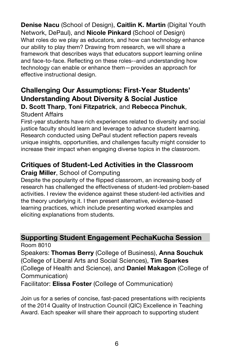**Denise Nacu** (School of Design), **Caitlin K. Martin** (Digital Youth Network, DePaul), and **Nicole Pinkard** (School of Design) What roles do we play as educators, and how can technology enhance our ability to play them? Drawing from research, we will share a framework that describes ways that educators support learning online and face-to-face. Reflecting on these roles--and understanding how technology can enable or enhance them—provides an approach for effective instructional design.

### **Challenging Our Assumptions: First-Year Students' Understanding About Diversity & Social Justice D. Scott Tharp**, **Toni Fitzpatrick**, and **Rebecca Pinchuk**, Student Affairs

First-year students have rich experiences related to diversity and social justice faculty should learn and leverage to advance student learning. Research conducted using DePaul student reflection papers reveals unique insights, opportunities, and challenges faculty might consider to increase their impact when engaging diverse topics in the classroom.

### **Critiques of Student-Led Activities in the Classroom**

### **Craig Miller**, School of Computing

Despite the popularity of the flipped classroom, an increasing body of research has challenged the effectiveness of student-led problem-based activities. I review the evidence against these student-led activities and the theory underlying it. I then present alternative, evidence-based learning practices, which include presenting worked examples and eliciting explanations from students.

# **Supporting Student Engagement PechaKucha Session**

Room 8010

Speakers: **Thomas Berry** (College of Business), **Anna Souchuk** (College of Liberal Arts and Social Sciences), **Tim Sparkes** (College of Health and Science), and **Daniel Makagon** (College of Communication)

Facilitator: **Elissa Foster** (College of Communication)

Join us for a series of concise, fast-paced presentations with recipients of the 2014 Quality of Instruction Council (QIC) Excellence in Teaching Award. Each speaker will share their approach to supporting student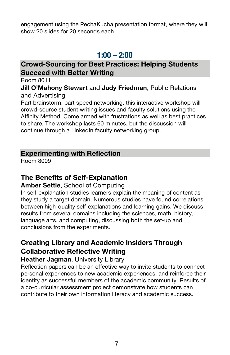engagement using the PechaKucha presentation format, where they will show 20 slides for 20 seconds each.

### **1:00 – 2:00**

### **Crowd-Sourcing for Best Practices: Helping Students Succeed with Better Writing**

Room 8011

### **Jill O'Mahony Stewart** and **Judy Friedman**, Public Relations and Advertising

Part brainstorm, part speed networking, this interactive workshop will crowd-source student writing issues and faculty solutions using the Affinity Method. Come armed with frustrations as well as best practices to share. The workshop lasts 60 minutes, but the discussion will continue through a LinkedIn faculty networking group.

### **Experimenting with Reflection**

Room 8009

### **The Benefits of Self-Explanation**

### **Amber Settle**, School of Computing

In self-explanation studies learners explain the meaning of content as they study a target domain. Numerous studies have found correlations between high-quality self-explanations and learning gains. We discuss results from several domains including the sciences, math, history, language arts, and computing, discussing both the set-up and conclusions from the experiments.

### **Creating Library and Academic Insiders Through Collaborative Reflective Writing**

### **Heather Jagman**, University Library

Reflection papers can be an effective way to invite students to connect personal experiences to new academic experiences, and reinforce their identity as successful members of the academic community. Results of a co-curricular assessment project demonstrate how students can contribute to their own information literacy and academic success.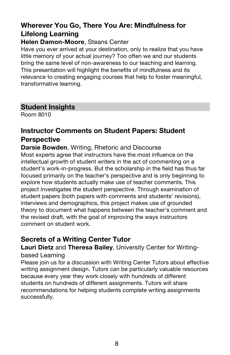### **Wherever You Go, There You Are: Mindfulness for Lifelong Learning**

### **Helen Damon-Moore**, Steans Center

Have you ever arrived at your destination, only to realize that you have little memory of your actual journey? Too often we and our students bring the same level of non-awareness to our teaching and learning. This presentation will highlight the benefits of mindfulness and its relevance to creating engaging courses that help to foster meaningful, transformative learning.

### **Student Insights**

Room 8010

### **Instructor Comments on Student Papers: Student Perspective**

**Darsie Bowden**, Writing, Rhetoric and Discourse

Most experts agree that instructors have the most influence on the intellectual growth of student writers in the act of commenting on a student's work-in-progress. But the scholarship in the field has thus far focused primarily on the teacher's perspective and is only beginning to explore how students actually make use of teacher comments. This project investigates the student perspective. Through examination of student papers (both papers with comments and students' revisions), interviews and demographics, this project makes use of grounded theory to document what happens between the teacher's comment and the revised draft, with the goal of improving the ways instructors comment on student work.

### **Secrets of a Writing Center Tutor**

**Lauri Dietz** and **Theresa Bailey**, University Center for Writingbased Learning

Please join us for a discussion with Writing Center Tutors about effective writing assignment design. Tutors can be particularly valuable resources because every year they work closely with hundreds of different students on hundreds of different assignments. Tutors will share recommendations for helping students complete writing assignments successfully.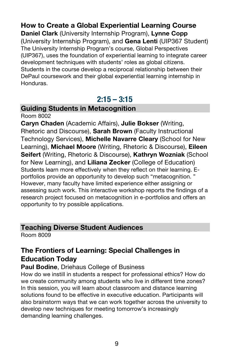### **How to Create a Global Experiential Learning Course**

**Daniel Clark** (University Internship Program), **Lynne Copp** (University Internship Program), and **Gena Lenti** (UIP367 Student) The University Internship Program's course, Global Perspectives (UIP367), uses the foundation of experiential learning to integrate career development techniques with students' roles as global citizens. Students in the course develop a reciprocal relationship between their DePaul coursework and their global experiential learning internship in Honduras.

### **2:15 – 3:15**

### **Guiding Students in Metacognition**

Room 8002

**Caryn Chaden** (Academic Affairs), **Julie Bokser** (Writing, Rhetoric and Discourse), **Sarah Brown** (Faculty Instructional Technology Services), **Michelle Navarre Cleary** (School for New Learning), **Michael Moore** (Writing, Rhetoric & Discourse), **Eileen Seifert** (Writing, Rhetoric & Discourse), **Kathryn Wozniak** (School for New Learning), and **Liliana Zecker** (College of Education) Students learn more effectively when they reflect on their learning. Eportfolios provide an opportunity to develop such "metacognition. " However, many faculty have limited experience either assigning or assessing such work. This interactive workshop reports the findings of a research project focused on metacognition in e-portfolios and offers an opportunity to try possible applications.

### **Teaching Diverse Student Audiences**

Room 8009

### **The Frontiers of Learning: Special Challenges in Education Today**

**Paul Bodine**, Driehaus College of Business

How do we instill in students a respect for professional ethics? How do we create community among students who live in different time zones? In this session, you will learn about classroom and distance learning solutions found to be effective in executive education. Participants will also brainstorm ways that we can work together across the university to develop new techniques for meeting tomorrow's increasingly demanding learning challenges.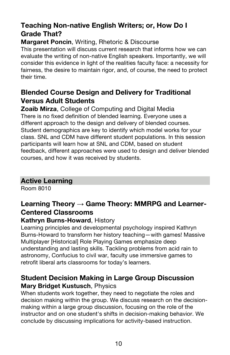### **Teaching Non-native English Writers; or, How Do I Grade That?**

### **Margaret Poncin**, Writing, Rhetoric & Discourse

This presentation will discuss current research that informs how we can evaluate the writing of non-native English speakers. Importantly, we will consider this evidence in light of the realities faculty face: a necessity for fairness, the desire to maintain rigor, and, of course, the need to protect their time.

### **Blended Course Design and Delivery for Traditional Versus Adult Students**

**Zoaib Mirza**, College of Computing and Digital Media There is no fixed definition of blended learning. Everyone uses a different approach to the design and delivery of blended courses. Student demographics are key to identify which model works for your class. SNL and CDM have different student populations. In this session participants will learn how at SNL and CDM, based on student feedback, different approaches were used to design and deliver blended courses, and how it was received by students.

### **Active Learning**

Room 8010

### **Learning Theory → Game Theory: MMRPG and Learner-Centered Classrooms**

### **Kathryn Burns-Howard**, History

Learning principles and developmental psychology inspired Kathryn Burns-Howard to transform her history teaching—with games! Massive Multiplayer [Historical] Role Playing Games emphasize deep understanding and lasting skills. Tackling problems from acid rain to astronomy, Confucius to civil war, faculty use immersive games to retrofit liberal arts classrooms for today's learners.

### **Student Decision Making in Large Group Discussion Mary Bridget Kustusch**, Physics

When students work together, they need to negotiate the roles and decision making within the group. We discuss research on the decisionmaking within a large group discussion, focusing on the role of the instructor and on one student's shifts in decision-making behavior. We conclude by discussing implications for activity-based instruction.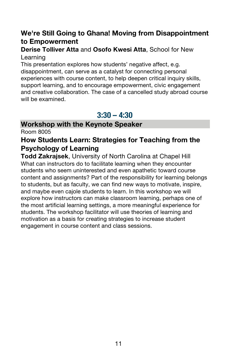### **We're Still Going to Ghana! Moving from Disappointment to Empowerment**

### **Derise Tolliver Atta** and **Osofo Kwesi Atta**, School for New Learning

This presentation explores how students' negative affect, e.g. disappointment, can serve as a catalyst for connecting personal experiences with course content, to help deepen critical inquiry skills, support learning, and to encourage empowerment, civic engagement and creative collaboration. The case of a cancelled study abroad course will be examined.

### **3:30 – 4:30**

### **Workshop with the Keynote Speaker**

Room 8005

### **How Students Learn: Strategies for Teaching from the Psychology of Learning**

**Todd Zakrajsek**, University of North Carolina at Chapel Hill What can instructors do to facilitate learning when they encounter students who seem uninterested and even apathetic toward course content and assignments? Part of the responsibility for learning belongs to students, but as faculty, we can find new ways to motivate, inspire, and maybe even cajole students to learn. In this workshop we will explore how instructors can make classroom learning, perhaps one of the most artificial learning settings, a more meaningful experience for students. The workshop facilitator will use theories of learning and motivation as a basis for creating strategies to increase student engagement in course content and class sessions.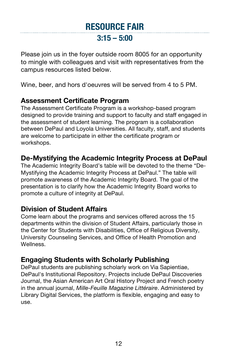## **RESOURCE FAIR 3:15 – 5:00**

Please join us in the foyer outside room 8005 for an opportunity to mingle with colleagues and visit with representatives from the campus resources listed below.

Wine, beer, and hors d'oeuvres will be served from 4 to 5 PM.

### **Assessment Certificate Program**

The Assessment Certificate Program is a workshop-based program designed to provide training and support to faculty and staff engaged in the assessment of student learning. The program is a collaboration between DePaul and Loyola Universities. All faculty, staff, and students are welcome to participate in either the certificate program or workshops.

### **De-Mystifying the Academic Integrity Process at DePaul**

The Academic Integrity Board's table will be devoted to the theme "De-Mystifying the Academic Integrity Process at DePaul." The table will promote awareness of the Academic Integrity Board. The goal of the presentation is to clarify how the Academic Integrity Board works to promote a culture of integrity at DePaul.

### **Division of Student Affairs**

Come learn about the programs and services offered across the 15 departments within the division of Student Affairs, particularly those in the Center for Students with Disabilities, Office of Religious Diversity, University Counseling Services, and Office of Health Promotion and Wellness.

### **Engaging Students with Scholarly Publishing**

DePaul students are publishing scholarly work on Via Sapientiae, DePaul's Institutional Repository. Projects include DePaul Discoveries Journal, the Asian American Art Oral History Project and French poetry in the annual journal, *Mille-Feuille Magazine Littéraire*. Administered by Library Digital Services, the platform is flexible, engaging and easy to use.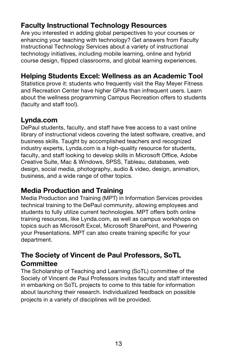### **Faculty Instructional Technology Resources**

Are you interested in adding global perspectives to your courses or enhancing your teaching with technology? Get answers from Faculty Instructional Technology Services about a variety of instructional technology initiatives, including mobile learning, online and hybrid course design, flipped classrooms, and global learning experiences.

### **Helping Students Excel: Wellness as an Academic Tool**

Statistics prove it: students who frequently visit the Ray Meyer Fitness and Recreation Center have higher GPAs than infrequent users. Learn about the wellness programming Campus Recreation offers to students (faculty and staff too!).

### **Lynda.com**

DePaul students, faculty, and staff have free access to a vast online library of instructional videos covering the latest software, creative, and business skills. Taught by accomplished teachers and recognized industry experts, Lynda.com is a high-quality resource for students, faculty, and staff looking to develop skills in Microsoft Office, Adobe Creative Suite, Mac & Windows, SPSS, Tableau, databases, web design, social media, photography, audio & video, design, animation, business, and a wide range of other topics.

### **Media Production and Training**

Media Production and Training (MPT) in Information Services provides technical training to the DePaul community, allowing employees and students to fully utilize current technologies. MPT offers both online training resources, like Lynda.com, as well as campus workshops on topics such as Microsoft Excel, Microsoft SharePoint, and Powering your Presentations. MPT can also create training specific for your department.

### **The Society of Vincent de Paul Professors, SoTL Committee**

The Scholarship of Teaching and Learning (SoTL) committee of the Society of Vincent de Paul Professors invites faculty and staff interested in embarking on SoTL projects to come to this table for information about launching their research. Individualized feedback on possible projects in a variety of disciplines will be provided.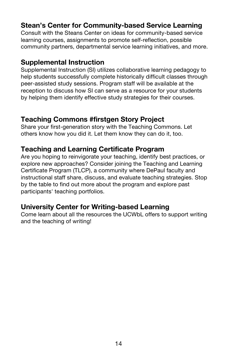### **Stean's Center for Community-based Service Learning**

Consult with the Steans Center on ideas for community-based service learning courses, assignments to promote self-reflection, possible community partners, departmental service learning initiatives, and more.

### **Supplemental Instruction**

Supplemental Instruction (SI) utilizes collaborative learning pedagogy to help students successfully complete historically difficult classes through peer-assisted study sessions. Program staff will be available at the reception to discuss how SI can serve as a resource for your students by helping them identify effective study strategies for their courses.

### **Teaching Commons #firstgen Story Project**

Share your first-generation story with the Teaching Commons. Let others know how you did it. Let them know they can do it, too.

### **Teaching and Learning Certificate Program**

Are you hoping to reinvigorate your teaching, identify best practices, or explore new approaches? Consider joining the Teaching and Learning Certificate Program (TLCP), a community where DePaul faculty and instructional staff share, discuss, and evaluate teaching strategies. Stop by the table to find out more about the program and explore past participants' teaching portfolios.

### **University Center for Writing-based Learning**

Come learn about all the resources the UCWbL offers to support writing and the teaching of writing!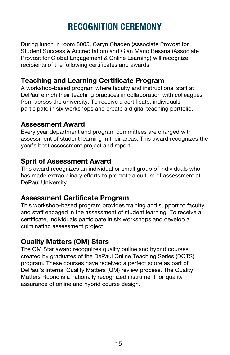# **RECOGNITION CEREMONY**

During lunch in room 8005, Caryn Chaden (Associate Provost for Student Success & Accreditation) and Gian Mario Besana (Associate Provost for Global Engagement & Online Learning) will recognize recipients of the following certificates and awards:

### **Teaching and Learning Certificate Program**

A workshop-based program where faculty and instructional staff at DePaul enrich their teaching practices in collaboration with colleagues from across the university. To receive a certificate, individuals participate in six workshops and create a digital teaching portfolio.

### **Assessment Award**

Every year department and program committees are charged with assessment of student learning in their areas. This award recognizes the year's best assessment project and report.

### **Sprit of Assessment Award**

This award recognizes an individual or small group of individuals who has made extraordinary efforts to promote a culture of assessment at DePaul University.

### **Assessment Certificate Program**

This workshop-based program provides training and support to faculty and staff engaged in the assessment of student learning. To receive a certificate, individuals participate in six workshops and develop a culminating assessment project.

### **Quality Matters (QM) Stars**

The QM Star award recognizes quality online and hybrid courses created by graduates of the DePaul Online Teaching Series (DOTS) program. These courses have received a perfect score as part of DePaul's internal Quality Matters (QM) review process. The Quality Matters Rubric is a nationally recognized instrument for quality assurance of online and hybrid course design.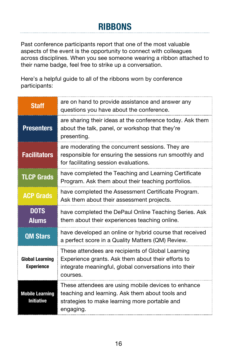# **RIBBONS**

Past conference participants report that one of the most valuable aspects of the event is the opportunity to connect with colleagues across disciplines. When you see someone wearing a ribbon attached to their name badge, feel free to strike up a conversation.

Here's a helpful guide to all of the ribbons worn by conference participants:

| <b>Staff</b>                                | are on hand to provide assistance and answer any<br>questions you have about the conference.                                                                                 |
|---------------------------------------------|------------------------------------------------------------------------------------------------------------------------------------------------------------------------------|
| <b>Presenters</b>                           | are sharing their ideas at the conference today. Ask them<br>about the talk, panel, or workshop that they're<br>presenting.                                                  |
| <b>Facilitators</b>                         | are moderating the concurrent sessions. They are<br>responsible for ensuring the sessions run smoothly and<br>for facilitating session evaluations.                          |
| <b>TLCP Grads</b>                           | have completed the Teaching and Learning Certificate<br>Program. Ask them about their teaching portfolios.                                                                   |
| <b>ACP Grads</b>                            | have completed the Assessment Certificate Program.<br>Ask them about their assessment projects.                                                                              |
| <b>DOTS</b><br><b>Alums</b>                 | have completed the DePaul Online Teaching Series. Ask<br>them about their experiences teaching online.                                                                       |
| <b>QM Stars</b>                             | have developed an online or hybrid course that received<br>a perfect score in a Quality Matters (QM) Review.                                                                 |
| <b>Global Learning</b><br><b>Experience</b> | These attendees are recipients of Global Learning<br>Experience grants. Ask them about their efforts to<br>integrate meaningful, global conversations into their<br>courses. |
| <b>Mobile Learning</b><br><b>Initiative</b> | These attendees are using mobile devices to enhance<br>teaching and learning. Ask them about tools and<br>strategies to make learning more portable and<br>engaging.         |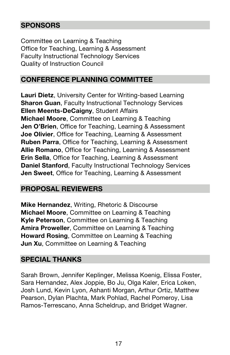### **SPONSORS**

Committee on Learning & Teaching Office for Teaching, Learning & Assessment Faculty Instructional Technology Services Quality of Instruction Council

### **CONFERENCE PLANNING COMMITTEE**

**Lauri Dietz**, University Center for Writing-based Learning **Sharon Guan, Faculty Instructional Technology Services Ellen Meents-DeCaigny**, Student Affairs **Michael Moore**, Committee on Learning & Teaching **Jen O'Brien**, Office for Teaching, Learning & Assessment **Joe Olivier**, Office for Teaching, Learning & Assessment **Ruben Parra**, Office for Teaching, Learning & Assessment **Allie Romano**, Office for Teaching, Learning & Assessment **Erin Sella**, Office for Teaching, Learning & Assessment **Daniel Stanford**, Faculty Instructional Technology Services **Jen Sweet**, Office for Teaching, Learning & Assessment

### **PROPOSAL REVIEWERS**

**Mike Hernandez**, Writing, Rhetoric & Discourse **Michael Moore**, Committee on Learning & Teaching **Kyle Peterson**, Committee on Learning & Teaching **Amira Proweller**, Committee on Learning & Teaching **Howard Rosing**, Committee on Learning & Teaching **Jun Xu**, Committee on Learning & Teaching

### **SPECIAL THANKS**

Sarah Brown, Jennifer Keplinger, Melissa Koenig, Elissa Foster, Sara Hernandez, Alex Joppie, Bo Ju, Olga Kaler, Erica Loken, Josh Lund, Kevin Lyon, Ashanti Morgan, Arthur Ortiz, Matthew Pearson, Dylan Plachta, Mark Pohlad, Rachel Pomeroy, Lisa Ramos-Terrescano, Anna Scheldrup, and Bridget Wagner.